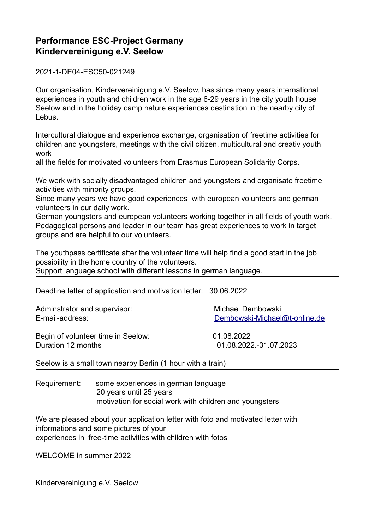## **Performance ESC-Project Germany Kindervereinigung e.V. Seelow**

2021-1-DE04-ESC50-021249

Our organisation, Kindervereinigung e.V. Seelow, has since many years international experiences in youth and children work in the age 6-29 years in the city youth house Seelow and in the holiday camp nature experiences destination in the nearby city of Lebus.

Intercultural dialogue and experience exchange, organisation of freetime activities for children and youngsters, meetings with the civil citizen, multicultural and creativ youth work

all the fields for motivated volunteers from Erasmus European Solidarity Corps.

We work with socially disadvantaged children and youngsters and organisate freetime activities with minority groups.

Since many years we have good experiences with european volunteers and german volunteers in our daily work.

German youngsters and european volunteers working together in all fields of youth work. Pedagogical persons and leader in our team has great experiences to work in target groups and are helpful to our volunteers.

The youthpass certificate after the volunteer time will help find a good start in the job possibility in the home country of the volunteers. Support language school with different lessons in german language.

Deadline letter of application and motivation letter: 30.06.2022

Adminstrator and supervisor: Michael Dembowski

E-mail-address: [Dembowski-Michael@t-online.de](mailto:Dembowski-Michael@t-online.de)

Begin of volunteer time in Seelow: 01.08.2022 Duration 12 months 01.08.2022.-31.07.2023

Seelow is a small town nearby Berlin (1 hour with a train)

Requirement: some experiences in german language 20 years until 25 years motivation for social work with children and youngsters

We are pleased about your application letter with foto and motivated letter with informations and some pictures of your experiences in free-time activities with children with fotos

WELCOME in summer 2022

Kindervereinigung e.V. Seelow